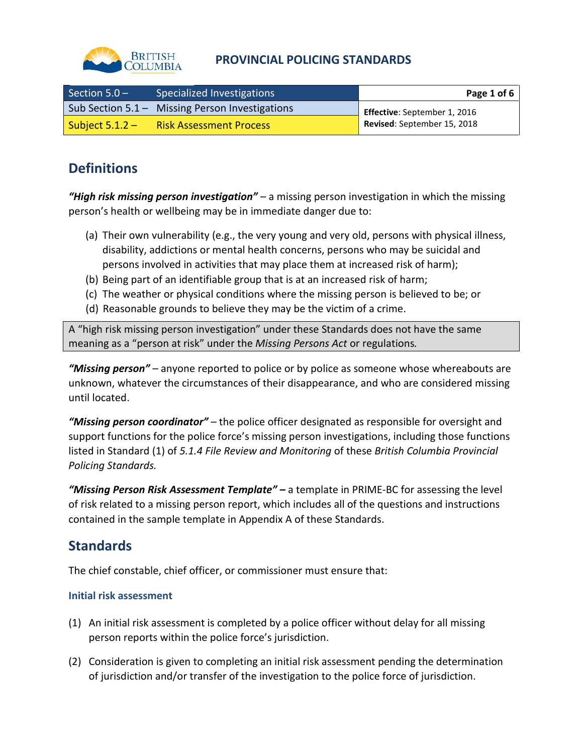

## **PROVINCIAL POLICING STANDARDS**

| Section $5.0 -$   | Specialized Investigations                      | Page 1 of 6 $\vert$          |
|-------------------|-------------------------------------------------|------------------------------|
|                   | Sub Section 5.1 – Missing Person Investigations | Effective: September 1, 2016 |
| Subject 5.1.2 $-$ | <b>Risk Assessment Process</b>                  | Revised: September 15, 2018  |

# **Definitions**

*"High risk missing person investigation"* – a missing person investigation in which the missing person's health or wellbeing may be in immediate danger due to:

- (a) Their own vulnerability (e.g., the very young and very old, persons with physical illness, disability, addictions or mental health concerns, persons who may be suicidal and persons involved in activities that may place them at increased risk of harm);
- (b) Being part of an identifiable group that is at an increased risk of harm;
- (c) The weather or physical conditions where the missing person is believed to be; or
- (d) Reasonable grounds to believe they may be the victim of a crime.

A "high risk missing person investigation" under these Standards does not have the same meaning as a "person at risk" under the *Missing Persons Act* or regulations*.*

*"Missing person"* – anyone reported to police or by police as someone whose whereabouts are unknown, whatever the circumstances of their disappearance, and who are considered missing until located.

*"Missing person coordinator"* – the police officer designated as responsible for oversight and support functions for the police force's missing person investigations, including those functions listed in Standard (1) of *5.1.4 File Review and Monitoring* of these *British Columbia Provincial Policing Standards.*

*"Missing Person Risk Assessment Template" –* a template in PRIME-BC for assessing the level of risk related to a missing person report, which includes all of the questions and instructions contained in the sample template in Appendix A of these Standards.

## **Standards**

The chief constable, chief officer, or commissioner must ensure that:

#### **Initial risk assessment**

- (1) An initial risk assessment is completed by a police officer without delay for all missing person reports within the police force's jurisdiction.
- (2) Consideration is given to completing an initial risk assessment pending the determination of jurisdiction and/or transfer of the investigation to the police force of jurisdiction.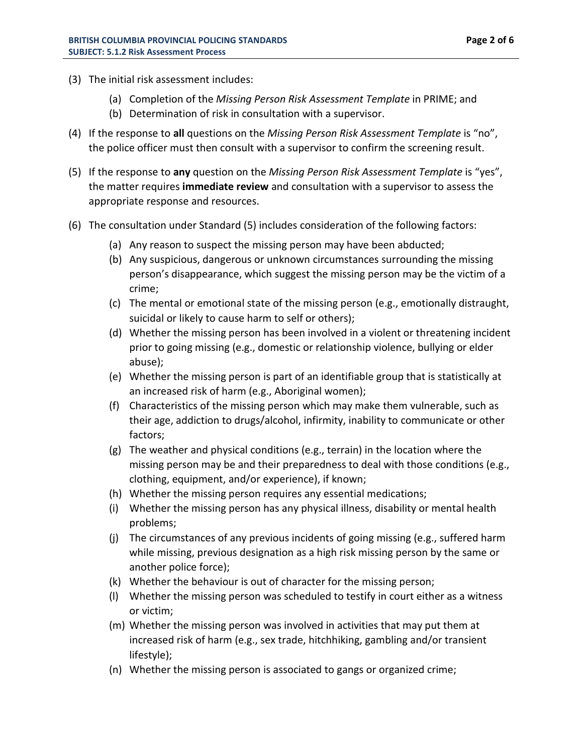- (3) The initial risk assessment includes:
	- (a) Completion of the *Missing Person Risk Assessment Template* in PRIME; and
	- (b) Determination of risk in consultation with a supervisor.
- (4) If the response to **all** questions on the *Missing Person Risk Assessment Template* is "no", the police officer must then consult with a supervisor to confirm the screening result.
- (5) If the response to **any** question on the *Missing Person Risk Assessment Template* is "yes", the matter requires **immediate review** and consultation with a supervisor to assess the appropriate response and resources.
- (6) The consultation under Standard (5) includes consideration of the following factors:
	- (a) Any reason to suspect the missing person may have been abducted;
	- (b) Any suspicious, dangerous or unknown circumstances surrounding the missing person's disappearance, which suggest the missing person may be the victim of a crime;
	- (c) The mental or emotional state of the missing person (e.g., emotionally distraught, suicidal or likely to cause harm to self or others);
	- (d) Whether the missing person has been involved in a violent or threatening incident prior to going missing (e.g., domestic or relationship violence, bullying or elder abuse);
	- (e) Whether the missing person is part of an identifiable group that is statistically at an increased risk of harm (e.g., Aboriginal women);
	- (f) Characteristics of the missing person which may make them vulnerable, such as their age, addiction to drugs/alcohol, infirmity, inability to communicate or other factors;
	- (g) The weather and physical conditions (e.g., terrain) in the location where the missing person may be and their preparedness to deal with those conditions (e.g., clothing, equipment, and/or experience), if known;
	- (h) Whether the missing person requires any essential medications;
	- (i) Whether the missing person has any physical illness, disability or mental health problems;
	- (j) The circumstances of any previous incidents of going missing (e.g., suffered harm while missing, previous designation as a high risk missing person by the same or another police force);
	- (k) Whether the behaviour is out of character for the missing person;
	- (l) Whether the missing person was scheduled to testify in court either as a witness or victim;
	- (m) Whether the missing person was involved in activities that may put them at increased risk of harm (e.g., sex trade, hitchhiking, gambling and/or transient lifestyle);
	- (n) Whether the missing person is associated to gangs or organized crime;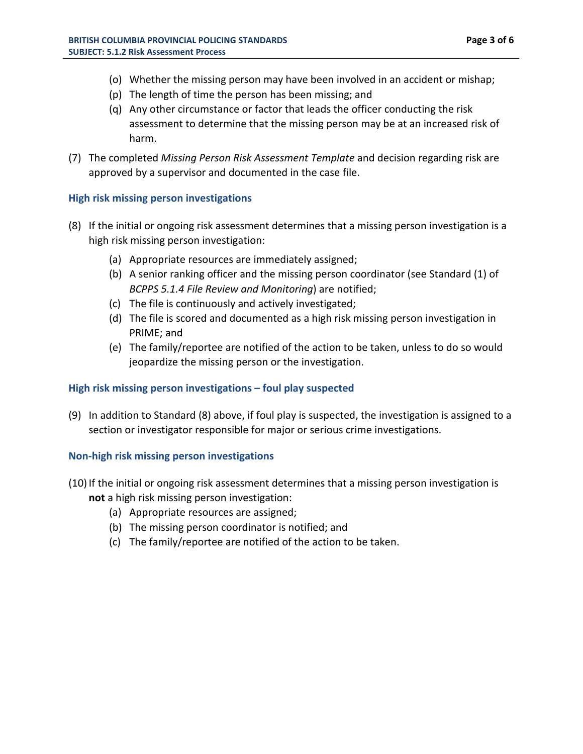- (o) Whether the missing person may have been involved in an accident or mishap;
- (p) The length of time the person has been missing; and
- (q) Any other circumstance or factor that leads the officer conducting the risk assessment to determine that the missing person may be at an increased risk of harm.
- (7) The completed *Missing Person Risk Assessment Template* and decision regarding risk are approved by a supervisor and documented in the case file.

### **High risk missing person investigations**

- (8) If the initial or ongoing risk assessment determines that a missing person investigation is a high risk missing person investigation:
	- (a) Appropriate resources are immediately assigned;
	- (b) A senior ranking officer and the missing person coordinator (see Standard (1) of *BCPPS 5.1.4 File Review and Monitoring*) are notified;
	- (c) The file is continuously and actively investigated;
	- (d) The file is scored and documented as a high risk missing person investigation in PRIME; and
	- (e) The family/reportee are notified of the action to be taken, unless to do so would jeopardize the missing person or the investigation.

### **High risk missing person investigations – foul play suspected**

(9) In addition to Standard (8) above, if foul play is suspected, the investigation is assigned to a section or investigator responsible for major or serious crime investigations.

### **Non-high risk missing person investigations**

- (10)If the initial or ongoing risk assessment determines that a missing person investigation is **not** a high risk missing person investigation:
	- (a) Appropriate resources are assigned;
	- (b) The missing person coordinator is notified; and
	- (c) The family/reportee are notified of the action to be taken.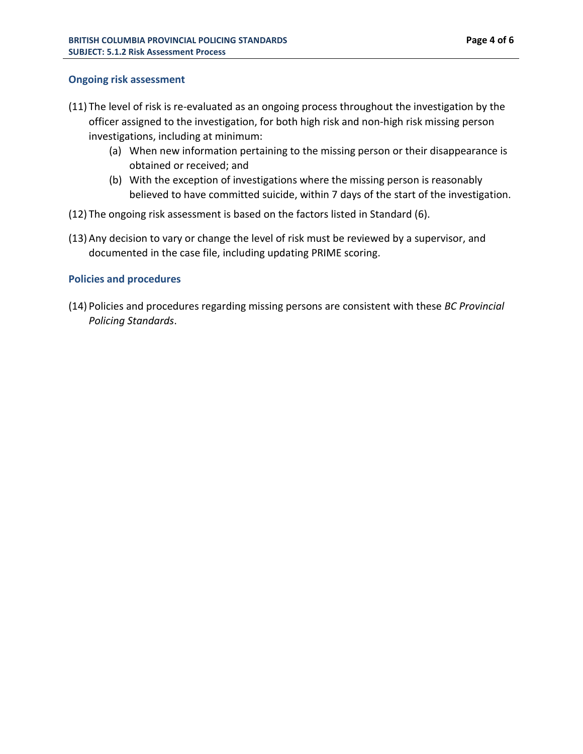#### **Ongoing risk assessment**

- (11) The level of risk is re-evaluated as an ongoing process throughout the investigation by the officer assigned to the investigation, for both high risk and non-high risk missing person investigations, including at minimum:
	- (a) When new information pertaining to the missing person or their disappearance is obtained or received; and
	- (b) With the exception of investigations where the missing person is reasonably believed to have committed suicide, within 7 days of the start of the investigation.
- (12) The ongoing risk assessment is based on the factors listed in Standard (6).
- (13) Any decision to vary or change the level of risk must be reviewed by a supervisor, and documented in the case file, including updating PRIME scoring.

#### **Policies and procedures**

(14) Policies and procedures regarding missing persons are consistent with these *BC Provincial Policing Standards*.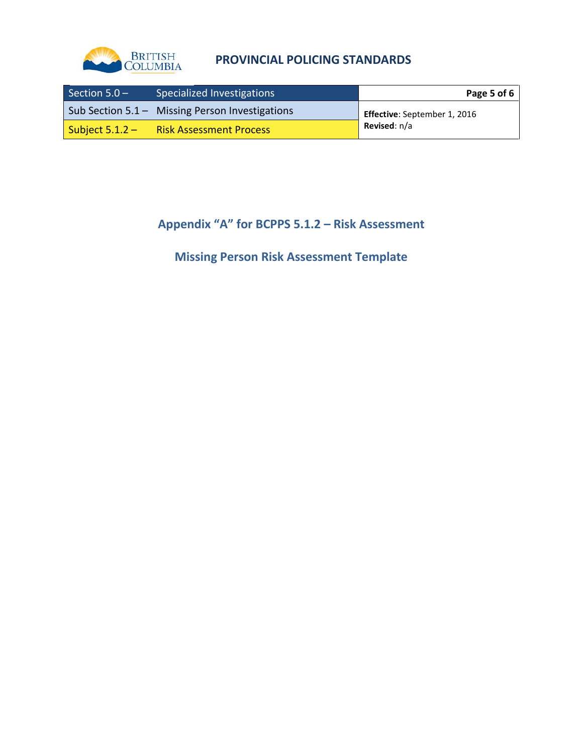

## **PROVINCIAL POLICING STANDARDS**

| Section $5.0 -$   | Specialized Investigations                                        | Page 5 of 6                         |  |
|-------------------|-------------------------------------------------------------------|-------------------------------------|--|
|                   | $\mathsf{Sub}\xspace$ Section 5.1 – Missing Person Investigations | <b>Effective:</b> September 1, 2016 |  |
| Subject $5.1.2 -$ | <b>Risk Assessment Process</b>                                    | <b>Revised:</b> n/a                 |  |

# **Appendix "A" for BCPPS 5.1.2 – Risk Assessment**

# **Missing Person Risk Assessment Template**